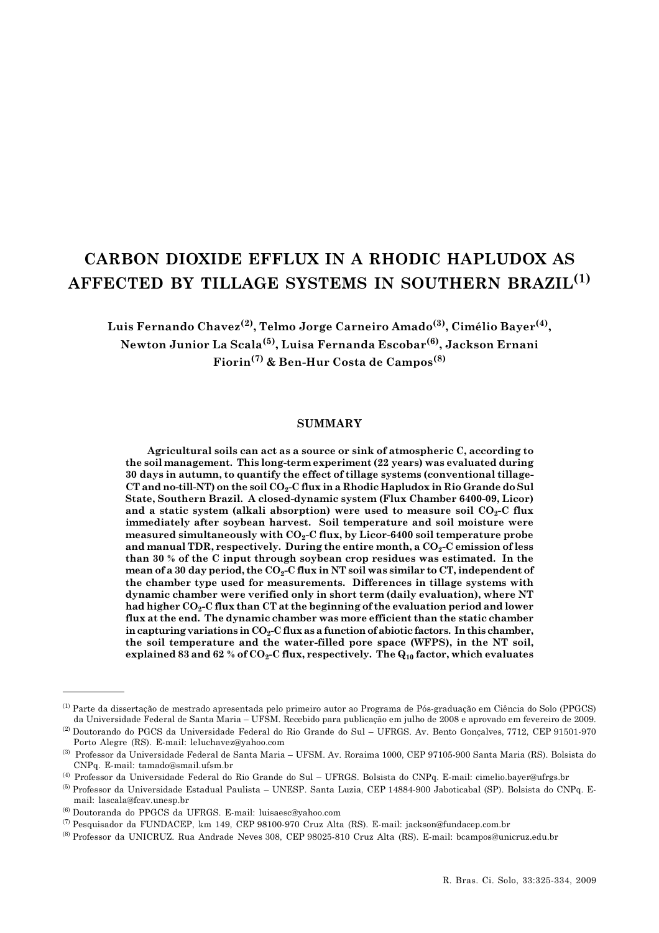# CARBON DIOXIDE EFFLUX IN A RHODIC HAPLUDOX AS AFFECTED BY TILLAGE SYSTEMS IN SOUTHERN BRAZIL<sup>(1)</sup>

Luis Fernando Chavez<sup>(2)</sup>, Telmo Jorge Carneiro Amado<sup>(3)</sup>, Cimélio Bayer<sup>(4)</sup>, Newton Junior La Scala(5), Luisa Fernanda Escobar(6), Jackson Ernani Fiorin(7) & Ben-Hur Costa de Campos(8)

# SUMMARY

Agricultural soils can act as a source or sink of atmospheric C, according to the soil management. This long-term experiment (22 years) was evaluated during 30 days in autumn, to quantify the effect of tillage systems (conventional tillage-CT and no-till-NT) on the soil  $CO<sub>2</sub>-C$  flux in a Rhodic Hapludox in Rio Grande do Sul State, Southern Brazil. A closed-dynamic system (Flux Chamber 6400-09, Licor) and a static system (alkali absorption) were used to measure soil  $CO<sub>2</sub>-C$  flux immediately after soybean harvest. Soil temperature and soil moisture were measured simultaneously with  $CO<sub>2</sub>-C$  flux, by Licor-6400 soil temperature probe and manual TDR, respectively. During the entire month, a  $CO<sub>2</sub>-C$  emission of less than 30 % of the C input through soybean crop residues was estimated. In the mean of a 30 day period, the  $CO<sub>2</sub>-C$  flux in NT soil was similar to CT, independent of the chamber type used for measurements. Differences in tillage systems with dynamic chamber were verified only in short term (daily evaluation), where NT had higher CO<sub>2</sub>-C flux than CT at the beginning of the evaluation period and lower flux at the end. The dynamic chamber was more efficient than the static chamber in capturing variations in  $CO_2$ -C flux as a function of abiotic factors. In this chamber, the soil temperature and the water-filled pore space (WFPS), in the NT soil, explained 83 and 62 % of  $CO_2$ -C flux, respectively. The  $Q_{10}$  factor, which evaluates

<sup>(1)</sup> Parte da dissertação de mestrado apresentada pelo primeiro autor ao Programa de Pós-graduação em Ciência do Solo (PPGCS) da Universidade Federal de Santa Maria – UFSM. Recebido para publicação em julho de 2008 e aprovado em fevereiro de 2009.

<sup>(2)</sup> Doutorando do PGCS da Universidade Federal do Rio Grande do Sul – UFRGS. Av. Bento Gonçalves, 7712, CEP 91501-970 Porto Alegre (RS). E-mail: leluchavez@yahoo.com

<sup>(3)</sup> Professor da Universidade Federal de Santa Maria – UFSM. Av. Roraima 1000, CEP 97105-900 Santa Maria (RS). Bolsista do CNPq. E-mail: tamado@smail.ufsm.br

<sup>(4)</sup> Professor da Universidade Federal do Rio Grande do Sul – UFRGS. Bolsista do CNPq. E-mail: cimelio.bayer@ufrgs.br

<sup>(5)</sup> Professor da Universidade Estadual Paulista – UNESP. Santa Luzia, CEP 14884-900 Jaboticabal (SP). Bolsista do CNPq. Email: lascala@fcav.unesp.br

<sup>(6)</sup> Doutoranda do PPGCS da UFRGS. E-mail: luisaesc@yahoo.com

<sup>(7)</sup> Pesquisador da FUNDACEP, km 149, CEP 98100-970 Cruz Alta (RS). E-mail: jackson@fundacep.com.br

<sup>(8)</sup> Professor da UNICRUZ. Rua Andrade Neves 308, CEP 98025-810 Cruz Alta (RS). E-mail: bcampos@unicruz.edu.br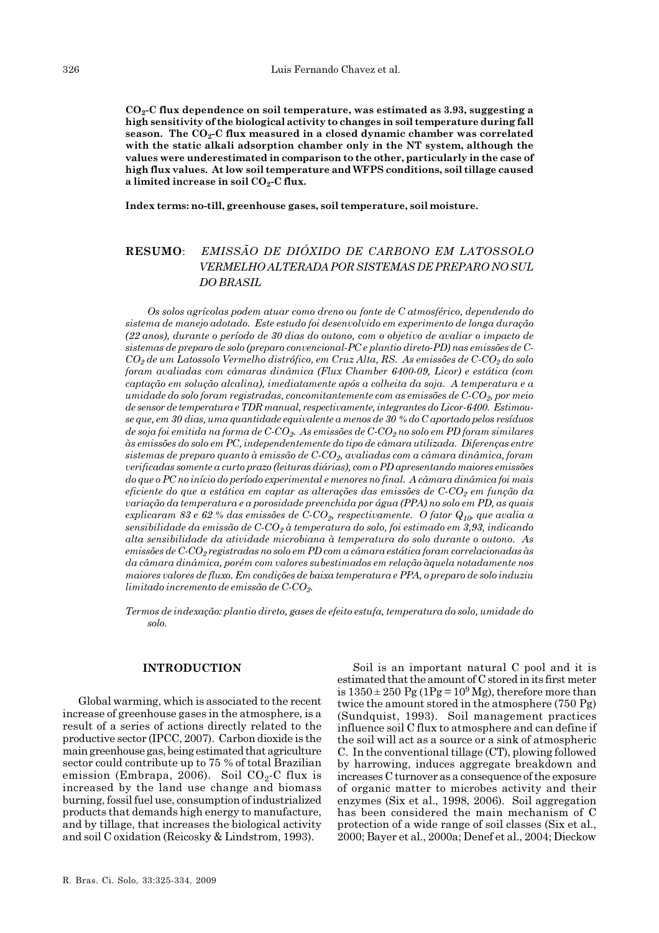$CO<sub>2</sub>-C$  flux dependence on soil temperature, was estimated as 3.93, suggesting a high sensitivity of the biological activity to changes in soil temperature during fall season. The  $CO_2$ -C flux measured in a closed dynamic chamber was correlated with the static alkali adsorption chamber only in the NT system, although the values were underestimated in comparison to the other, particularly in the case of high flux values. At low soil temperature and WFPS conditions, soil tillage caused a limited increase in soil  $CO<sub>2</sub>-C$  flux.

Index terms: no-till, greenhouse gases, soil temperature, soil moisture.

# RESUMO: EMISSÃO DE DIÓXIDO DE CARBONO EM LATOSSOLO VERMELHO ALTERADA POR SISTEMAS DE PREPARO NO SUL DO BRASIL

Os solos agrícolas podem atuar como dreno ou fonte de C atmosférico, dependendo do sistema de manejo adotado. Este estudo foi desenvolvido em experimento de longa duração (22 anos), durante o período de 30 dias do outono, com o objetivo de avaliar o impacto de sistemas de preparo de solo (preparo convencional-PC e plantio direto-PD) nas emissões de C- $CO_2$  de um Latossolo Vermelho distrófico, em Cruz Alta, RS. As emissões de C-CO<sub>2</sub> do solo foram avaliadas com câmaras dinâmica (Flux Chamber 6400-09, Licor) e estática (com captação em solução alcalina), imediatamente após a colheita da soja. A temperatura e a umidade do solo foram registradas, concomitantemente com as emissões de  $C-CO<sub>2</sub>$ , por meio de sensor de temperatura e TDR manual, respectivamente, integrantes do Licor-6400. Estimouse que, em 30 dias, uma quantidade equivalente a menos de 30 % do C aportado pelos resíduos de soja foi emitida na forma de  $C-CO<sub>2</sub>$ . As emissões de  $C-CO<sub>2</sub>$ no solo em PD foram similares às emissões do solo em PC, independentemente do tipo de câmara utilizada. Diferenças entre sistemas de preparo quanto à emissão de  $C$ - $CO<sub>2</sub>$ , avaliadas com a câmara dinâmica, foram verificadas somente a curto prazo (leituras diárias), com o PD apresentando maiores emissões do que o PC no início do período experimental e menores no final. A câmara dinâmica foi mais eficiente do que a estática em captar as alterações das emissões de  $C-CO<sub>2</sub>$  em função da variação da temperatura e a porosidade preenchida por água (PPA) no solo em PD, as quais explicaram 83 e 62 % das emissões de C-CO<sub>2</sub>, respectivamente. O fator  $Q_{10}$ , que avalia a sensibilidade da emissão de  $C$ -CO<sub>2</sub> à temperatura do solo, foi estimado em 3,93, indicando alta sensibilidade da atividade microbiana à temperatura do solo durante o outono. As emissões de  $C$ - $CO_2$  registradas no solo em PD com a câmara estática foram correlacionadas às da câmara dinâmica, porém com valores subestimados em relação àquela notadamente nos maiores valores de fluxo. Em condições de baixa temperatura e PPA, o preparo de solo induziu limitado incremento de emissão de  $C$ - $CO<sub>2</sub>$ .

Termos de indexação: plantio direto, gases de efeito estufa, temperatura do solo, umidade do solo.

#### INTRODUCTION

Global warming, which is associated to the recent increase of greenhouse gases in the atmosphere, is a result of a series of actions directly related to the productive sector (IPCC, 2007). Carbon dioxide is the main greenhouse gas, being estimated that agriculture sector could contribute up to 75 % of total Brazilian emission (Embrapa, 2006). Soil  $CO<sub>2</sub>$ -C flux is increased by the land use change and biomass burning, fossil fuel use, consumption of industrialized products that demands high energy to manufacture, and by tillage, that increases the biological activity and soil C oxidation (Reicosky & Lindstrom, 1993).

R. Bras. Ci. Solo, 33:325-334, 2009

Soil is an important natural C pool and it is estimated that the amount of C stored in its first meter is  $1350 \pm 250$  Pg (1Pg =  $10^9$  Mg), therefore more than twice the amount stored in the atmosphere (750 Pg) (Sundquist, 1993). Soil management practices influence soil C flux to atmosphere and can define if the soil will act as a source or a sink of atmospheric C. In the conventional tillage (CT), plowing followed by harrowing, induces aggregate breakdown and increases C turnover as a consequence of the exposure of organic matter to microbes activity and their enzymes (Six et al., 1998, 2006). Soil aggregation has been considered the main mechanism of C protection of a wide range of soil classes (Six et al., 2000; Bayer et al., 2000a; Denef et al., 2004; Dieckow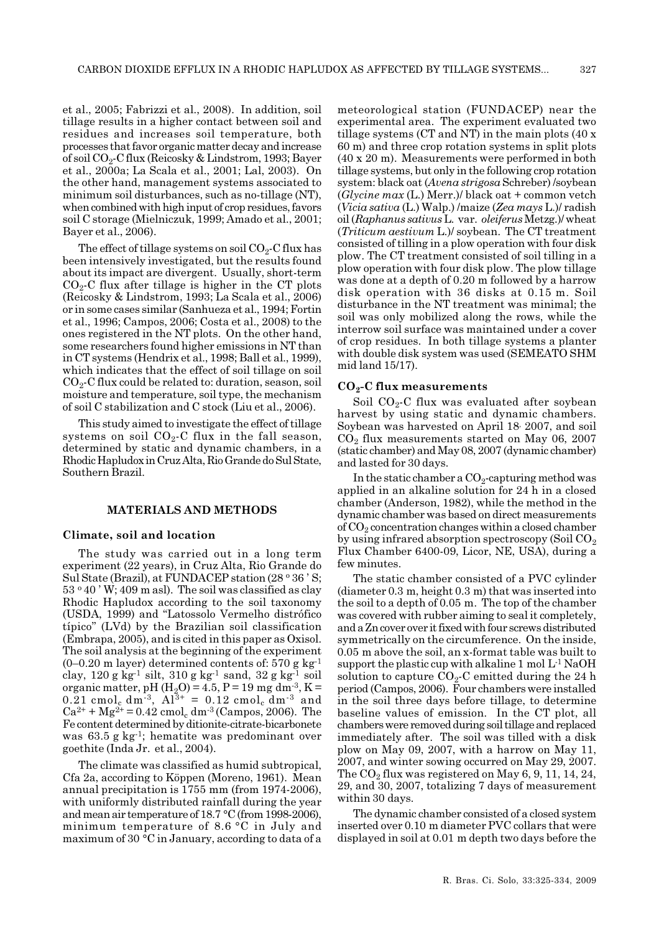et al., 2005; Fabrizzi et al., 2008). In addition, soil tillage results in a higher contact between soil and residues and increases soil temperature, both processes that favor organic matter decay and increase of soil  $CO<sub>2</sub>$ -C flux (Reicosky & Lindstrom, 1993; Bayer et al., 2000a; La Scala et al., 2001; Lal, 2003). On the other hand, management systems associated to minimum soil disturbances, such as no-tillage (NT), when combined with high input of crop residues, favors soil C storage (Mielniczuk, 1999; Amado et al., 2001; Bayer et al., 2006).

The effect of tillage systems on soil  $CO<sub>2</sub>$ -C flux has been intensively investigated, but the results found about its impact are divergent. Usually, short-term  $CO<sub>2</sub>$ -C flux after tillage is higher in the CT plots (Reicosky & Lindstrom, 1993; La Scala et al., 2006) or in some cases similar (Sanhueza et al., 1994; Fortin et al., 1996; Campos, 2006; Costa et al., 2008) to the ones registered in the NT plots. On the other hand, some researchers found higher emissions in NT than in CT systems (Hendrix et al., 1998; Ball et al., 1999), which indicates that the effect of soil tillage on soil  $CO<sub>2</sub>$ -C flux could be related to: duration, season, soil moisture and temperature, soil type, the mechanism of soil C stabilization and C stock (Liu et al., 2006).

This study aimed to investigate the effect of tillage systems on soil  $CO<sub>2</sub>$ -C flux in the fall season, determined by static and dynamic chambers, in a Rhodic Hapludox in Cruz Alta, Rio Grande do Sul State, Southern Brazil.

#### MATERIALS AND METHODS

#### Climate, soil and location

The study was carried out in a long term experiment (22 years), in Cruz Alta, Rio Grande do Sul State (Brazil), at FUNDACEP station  $(28 \circ 36 \circ S;$  $53°40'$  W; 409 m asl). The soil was classified as clay Rhodic Hapludox according to the soil taxonomy (USDA, 1999) and "Latossolo Vermelho distrófico típico" (LVd) by the Brazilian soil classification (Embrapa, 2005), and is cited in this paper as Oxisol. The soil analysis at the beginning of the experiment  $(0-0.20 \text{ m layer})$  determined contents of: 570 g kg<sup>-1</sup> clay, 120 g kg<sup>-1</sup> silt, 310 g kg<sup>-1</sup> sand, 32 g kg<sup>-1</sup> soil organic matter, pH  $(H_2O) = 4.5$ , P = 19 mg dm<sup>-3</sup>, K = 0.21 cmol<sub>c</sub> dm<sup>-3</sup>,  $Al^{3+} = 0.12$  cmol<sub>c</sub> dm<sup>-3</sup> and  $Ca^{2+} + Mg^{2+} = 0.42$  cmol<sub>c</sub> dm<sup>-3</sup> (Campos, 2006). The Fe content determined by ditionite-citrate-bicarbonete was 63.5 g kg-1; hematite was predominant over goethite (Inda Jr. et al., 2004).

The climate was classified as humid subtropical, Cfa 2a, according to Köppen (Moreno, 1961). Mean annual precipitation is 1755 mm (from 1974-2006), with uniformly distributed rainfall during the year and mean air temperature of 18.7 °C (from 1998-2006), minimum temperature of 8.6 °C in July and maximum of 30 °C in January, according to data of a

meteorological station (FUNDACEP) near the experimental area. The experiment evaluated two tillage systems (CT and NT) in the main plots (40 x 60 m) and three crop rotation systems in split plots (40 x 20 m). Measurements were performed in both tillage systems, but only in the following crop rotation system: black oat (Avena strigosa Schreber) /soybean  $(Glycine max (L. Merr.)/ black out + common vetch)$  $(Vicia sativa (L.) Walp.) /maize (Zea mays L.) / radish)$ oil (Raphanus sativus L. var. oleiferus Metzg.)/ wheat (Triticum aestivum L.)/ soybean. The CT treatment consisted of tilling in a plow operation with four disk plow. The CT treatment consisted of soil tilling in a plow operation with four disk plow. The plow tillage was done at a depth of 0.20 m followed by a harrow disk operation with 36 disks at 0.15 m. Soil disturbance in the NT treatment was minimal; the soil was only mobilized along the rows, while the interrow soil surface was maintained under a cover of crop residues. In both tillage systems a planter with double disk system was used (SEMEATO SHM mid land 15/17).

#### $CO<sub>2</sub>-C$  flux measurements

Soil  $CO<sub>2</sub>-C$  flux was evaluated after soybean harvest by using static and dynamic chambers. Soybean was harvested on April 18, 2007, and soil  $CO<sub>2</sub>$  flux measurements started on May 06, 2007 (static chamber) and May 08, 2007 (dynamic chamber) and lasted for 30 days.

In the static chamber a  $CO_2$ -capturing method was applied in an alkaline solution for 24 h in a closed chamber (Anderson, 1982), while the method in the dynamic chamber was based on direct measurements of  $CO<sub>2</sub>$  concentration changes within a closed chamber by using infrared absorption spectroscopy (Soil  $CO<sub>2</sub>$ Flux Chamber 6400-09, Licor, NE, USA), during a few minutes.

The static chamber consisted of a PVC cylinder (diameter 0.3 m, height 0.3 m) that was inserted into the soil to a depth of 0.05 m. The top of the chamber was covered with rubber aiming to seal it completely, and a Zn cover over it fixed with four screws distributed symmetrically on the circumference. On the inside, 0.05 m above the soil, an x-format table was built to support the plastic cup with alkaline 1 mol  $L^1$  NaOH solution to capture  $CO<sub>2</sub>$ -C emitted during the 24 h period (Campos, 2006). Four chambers were installed in the soil three days before tillage, to determine baseline values of emission. In the CT plot, all chambers were removed during soil tillage and replaced immediately after. The soil was tilled with a disk plow on May 09, 2007, with a harrow on May 11, 2007, and winter sowing occurred on May 29, 2007. The  $CO<sub>2</sub>$  flux was registered on May 6, 9, 11, 14, 24, 29, and 30, 2007, totalizing 7 days of measurement within 30 days.

The dynamic chamber consisted of a closed system inserted over 0.10 m diameter PVC collars that were displayed in soil at 0.01 m depth two days before the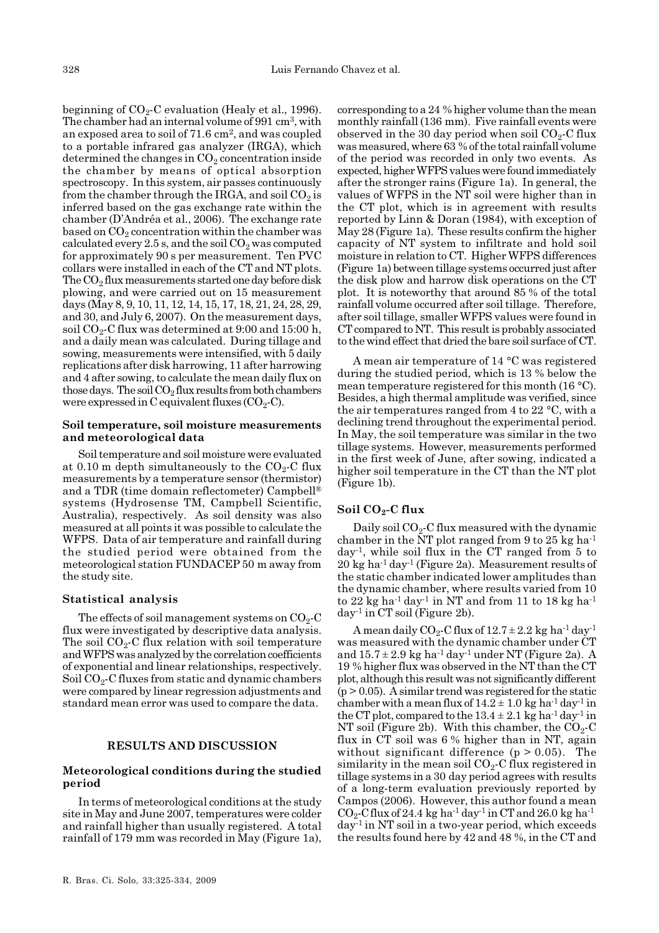beginning of  $CO<sub>2</sub>$ -C evaluation (Healy et al., 1996). The chamber had an internal volume of 991 cm<sup>3</sup>, with an exposed area to soil of  $71.6 \text{ cm}^2$ , and was coupled to a portable infrared gas analyzer (IRGA), which determined the changes in  $CO<sub>2</sub>$  concentration inside the chamber by means of optical absorption spectroscopy. In this system, air passes continuously from the chamber through the IRGA, and soil  $CO<sub>2</sub>$  is inferred based on the gas exchange rate within the chamber (D'Andréa et al., 2006). The exchange rate based on  $CO<sub>2</sub>$  concentration within the chamber was calculated every 2.5 s, and the soil  $CO_2$  was computed for approximately 90 s per measurement. Ten PVC collars were installed in each of the CT and NT plots. The  $CO<sub>2</sub>$  flux measurements started one day before disk plowing, and were carried out on 15 measurement days (May 8, 9, 10, 11, 12, 14, 15, 17, 18, 21, 24, 28, 29, and 30, and July 6, 2007). On the measurement days, soil  $CO<sub>2</sub>$ -C flux was determined at 9:00 and 15:00 h, and a daily mean was calculated. During tillage and sowing, measurements were intensified, with 5 daily replications after disk harrowing, 11 after harrowing and 4 after sowing, to calculate the mean daily flux on those days. The soil  $CO<sub>2</sub>$  flux results from both chambers were expressed in C equivalent fluxes  $(CO_2-C)$ .

#### Soil temperature, soil moisture measurements and meteorological data

Soil temperature and soil moisture were evaluated at 0.10 m depth simultaneously to the  $CO_2$ -C flux measurements by a temperature sensor (thermistor) and a TDR (time domain reflectometer) Campbell® systems (Hydrosense TM, Campbell Scientific, Australia), respectively. As soil density was also measured at all points it was possible to calculate the WFPS. Data of air temperature and rainfall during the studied period were obtained from the meteorological station FUNDACEP 50 m away from the study site.

# Statistical analysis

The effects of soil management systems on  $CO<sub>2</sub>-C$ flux were investigated by descriptive data analysis. The soil  $CO_2$ -C flux relation with soil temperature and WFPS was analyzed by the correlation coefficients of exponential and linear relationships, respectively. Soil  $CO<sub>2</sub>$ -C fluxes from static and dynamic chambers were compared by linear regression adjustments and standard mean error was used to compare the data.

#### RESULTS AND DISCUSSION

#### Meteorological conditions during the studied period

In terms of meteorological conditions at the study site in May and June 2007, temperatures were colder and rainfall higher than usually registered. A total rainfall of 179 mm was recorded in May (Figure 1a),

corresponding to a 24 % higher volume than the mean monthly rainfall (136 mm). Five rainfall events were observed in the 30 day period when soil  $CO<sub>2</sub>$ -C flux was measured, where 63 % of the total rainfall volume of the period was recorded in only two events. As expected, higher WFPS values were found immediately after the stronger rains (Figure 1a). In general, the values of WFPS in the NT soil were higher than in the CT plot, which is in agreement with results reported by Linn & Doran (1984), with exception of May 28 (Figure 1a). These results confirm the higher capacity of NT system to infiltrate and hold soil moisture in relation to CT. Higher WFPS differences (Figure 1a) between tillage systems occurred just after the disk plow and harrow disk operations on the CT plot. It is noteworthy that around 85 % of the total rainfall volume occurred after soil tillage. Therefore, after soil tillage, smaller WFPS values were found in CT compared to NT. This result is probably associated to the wind effect that dried the bare soil surface of CT.

A mean air temperature of 14 °C was registered during the studied period, which is 13 % below the mean temperature registered for this month (16 °C). Besides, a high thermal amplitude was verified, since the air temperatures ranged from 4 to 22 °C, with a declining trend throughout the experimental period. In May, the soil temperature was similar in the two tillage systems. However, measurements performed in the first week of June, after sowing, indicated a higher soil temperature in the CT than the NT plot (Figure 1b).

# Soil  $CO<sub>2</sub>-C$  flux

Daily soil  $CO<sub>2</sub>-C$  flux measured with the dynamic chamber in the NT plot ranged from 9 to 25 kg ha-1 day-1, while soil flux in the CT ranged from 5 to 20 kg ha-1 day-1 (Figure 2a). Measurement results of the static chamber indicated lower amplitudes than the dynamic chamber, where results varied from 10 to  $22$  kg ha<sup>-1</sup> day<sup>-1</sup> in NT and from 11 to 18 kg ha<sup>-1</sup> day-1 in CT soil (Figure 2b).

A mean daily  $CO_2$ -C flux of  $12.7 \pm 2.2$  kg ha<sup>-1</sup> day<sup>-1</sup> was measured with the dynamic chamber under CT and  $15.7 \pm 2.9$  kg ha<sup>-1</sup> day<sup>-1</sup> under NT (Figure 2a). A 19 % higher flux was observed in the NT than the CT plot, although this result was not significantly different  $(p > 0.05)$ . A similar trend was registered for the static chamber with a mean flux of  $14.2 \pm 1.0$  kg ha<sup>-1</sup> day<sup>-1</sup> in the CT plot, compared to the  $13.4 \pm 2.1$  kg ha<sup>-1</sup> day<sup>-1</sup> in NT soil (Figure 2b). With this chamber, the  $CO<sub>2</sub>$ -C flux in CT soil was 6 % higher than in NT, again without significant difference (p > 0.05). The similarity in the mean soil  $\mathrm{CO}_2\text{-C}$  flux registered in tillage systems in a 30 day period agrees with results of a long-term evaluation previously reported by Campos (2006). However, this author found a mean  $CO_2$ -Cflux of 24.4 kg ha<sup>-1</sup> day<sup>-1</sup> in CT and 26.0 kg ha<sup>-1</sup>  $day<sup>-1</sup>$  in NT soil in a two-year period, which exceeds the results found here by 42 and 48 %, in the CT and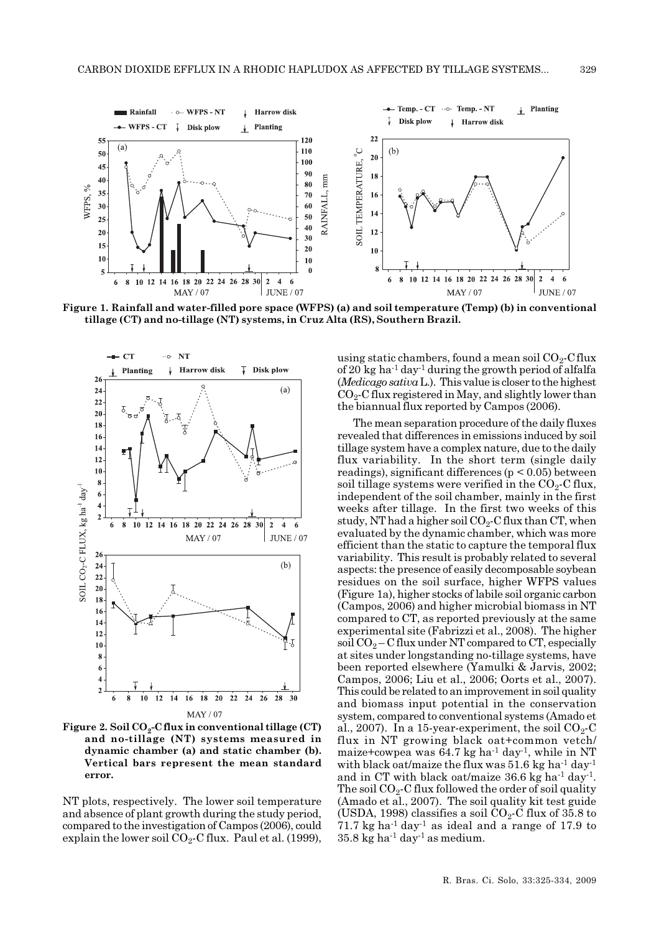

Figure 1. Rainfall and water-filled pore space (WFPS) (a) and soil temperature (Temp) (b) in conventional tillage (CT) and no-tillage (NT) systems, in Cruz Alta (RS), Southern Brazil.



Figure 2. Soil  $CO<sub>9</sub>-C$  flux in conventional tillage (CT) and no-tillage (NT) systems measured in dynamic chamber (a) and static chamber (b). Vertical bars represent the mean standard error.

NT plots, respectively. The lower soil temperature and absence of plant growth during the study period, compared to the investigation of Campos (2006), could explain the lower soil  $CO_2$ -C flux. Paul et al. (1999),

using static chambers, found a mean soil  $CO<sub>2</sub>$ -C flux of 20 kg ha<sup>-1</sup> day<sup>-1</sup> during the growth period of alfalfa  $(Medicago sativa L.).$  This value is closer to the highest  $CO<sub>2</sub>$ -C flux registered in May, and slightly lower than the biannual flux reported by Campos (2006).

The mean separation procedure of the daily fluxes revealed that differences in emissions induced by soil tillage system have a complex nature, due to the daily flux variability. In the short term (single daily readings), significant differences (p < 0.05) between soil tillage systems were verified in the  $CO<sub>2</sub>-C$  flux, independent of the soil chamber, mainly in the first weeks after tillage. In the first two weeks of this study, NT had a higher soil  $CO_2$ -C flux than CT, when evaluated by the dynamic chamber, which was more efficient than the static to capture the temporal flux variability. This result is probably related to several aspects: the presence of easily decomposable soybean residues on the soil surface, higher WFPS values (Figure 1a), higher stocks of labile soil organic carbon (Campos, 2006) and higher microbial biomass in NT compared to CT, as reported previously at the same experimental site (Fabrizzi et al., 2008). The higher soil  $CO<sub>2</sub> - C$  flux under NT compared to CT, especially at sites under longstanding no-tillage systems, have been reported elsewhere (Yamulki & Jarvis, 2002; Campos, 2006; Liu et al., 2006; Oorts et al., 2007). This could be related to an improvement in soil quality and biomass input potential in the conservation system, compared to conventional systems (Amado et al., 2007). In a 15-year-experiment, the soil  $CO<sub>2</sub>$ -C flux in NT growing black oat+common vetch/ maize+cowpea was  $64.7$  kg ha<sup>-1</sup> day<sup>-1</sup>, while in NT with black oat/maize the flux was  $51.6$  kg ha<sup>-1</sup> day<sup>-1</sup> and in CT with black oat/maize  $36.6$  kg ha<sup>-1</sup> day<sup>-1</sup>. The soil  $CO<sub>2</sub>$ -C flux followed the order of soil quality (Amado et al., 2007). The soil quality kit test guide (USDA, 1998) classifies a soil  $CO_2$ -C flux of 35.8 to 71.7 kg ha<sup>-1</sup> day<sup>-1</sup> as ideal and a range of 17.9 to  $35.8 \text{ kg}$  ha<sup>-1</sup> day<sup>-1</sup> as medium.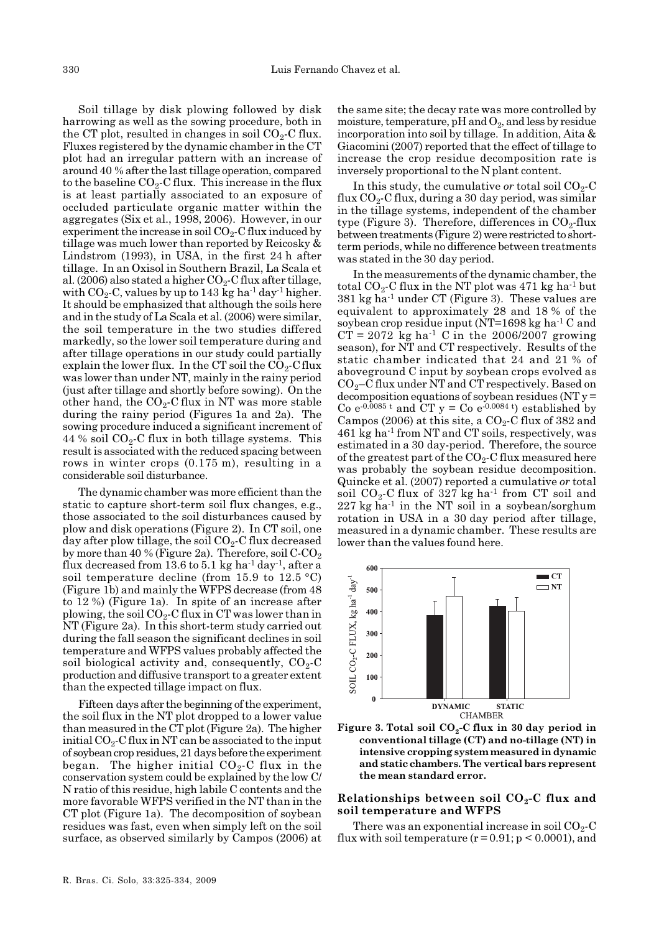Soil tillage by disk plowing followed by disk harrowing as well as the sowing procedure, both in the CT plot, resulted in changes in soil  $CO<sub>2</sub>$ -C flux. Fluxes registered by the dynamic chamber in the CT plot had an irregular pattern with an increase of around 40 % after the last tillage operation, compared to the baseline  $CO<sub>2</sub>$ -C flux. This increase in the flux is at least partially associated to an exposure of occluded particulate organic matter within the aggregates (Six et al., 1998, 2006). However, in our experiment the increase in soil  $CO<sub>2</sub>-C$  flux induced by tillage was much lower than reported by Reicosky & Lindstrom (1993), in USA, in the first 24 h after tillage. In an Oxisol in Southern Brazil, La Scala et al. (2006) also stated a higher  $CO_2$ -C flux after tillage, with  $CO_2$ -C, values by up to 143 kg ha<sup>-1</sup> day<sup>-1</sup> higher. It should be emphasized that although the soils here and in the study of La Scala et al. (2006) were similar, the soil temperature in the two studies differed markedly, so the lower soil temperature during and after tillage operations in our study could partially explain the lower flux. In the CT soil the  $CO_2$ -C flux was lower than under NT, mainly in the rainy period (just after tillage and shortly before sowing). On the other hand, the  $CO<sub>2</sub>$ -C flux in NT was more stable during the rainy period (Figures 1a and 2a). The sowing procedure induced a significant increment of 44 % soil  $CO<sub>2</sub>$ -C flux in both tillage systems. This result is associated with the reduced spacing between rows in winter crops (0.175 m), resulting in a considerable soil disturbance.

The dynamic chamber was more efficient than the static to capture short-term soil flux changes, e.g., those associated to the soil disturbances caused by plow and disk operations (Figure 2). In CT soil, one day after plow tillage, the soil  $CO<sub>2</sub>-C$  flux decreased by more than 40 % (Figure 2a). Therefore, soil  $C-CO<sub>2</sub>$ flux decreased from 13.6 to 5.1 kg ha<sup>-1</sup> day<sup>-1</sup>, after a soil temperature decline (from 15.9 to 12.5  $\textdegree$ C) (Figure 1b) and mainly the WFPS decrease (from 48 to 12 %) (Figure 1a). In spite of an increase after plowing, the soil  $CO<sub>2</sub>-C$  flux in CT was lower than in NT (Figure 2a). In this short-term study carried out during the fall season the significant declines in soil temperature and WFPS values probably affected the soil biological activity and, consequently,  $CO<sub>2</sub>-C$ production and diffusive transport to a greater extent than the expected tillage impact on flux.

Fifteen days after the beginning of the experiment, the soil flux in the NT plot dropped to a lower value than measured in the CT plot (Figure 2a). The higher initial  $CO<sub>2</sub>$ -C flux in NT can be associated to the input of soybean crop residues, 21 days before the experiment began. The higher initial  $CO<sub>2</sub>$ -C flux in the conservation system could be explained by the low C/ N ratio of this residue, high labile C contents and the more favorable WFPS verified in the NT than in the CT plot (Figure 1a). The decomposition of soybean residues was fast, even when simply left on the soil surface, as observed similarly by Campos (2006) at

the same site; the decay rate was more controlled by moisture, temperature,  $pH$  and  $O_2$ , and less by residue incorporation into soil by tillage. In addition, Aita & Giacomini (2007) reported that the effect of tillage to increase the crop residue decomposition rate is inversely proportional to the N plant content.

In this study, the cumulative or total soil  $CO<sub>2</sub>-C$ flux  $CO_2$ -C flux, during a 30 day period, was similar in the tillage systems, independent of the chamber type (Figure 3). Therefore, differences in  $CO<sub>2</sub>$ -flux between treatments (Figure 2) were restricted to shortterm periods, while no difference between treatments was stated in the 30 day period.

In the measurements of the dynamic chamber, the total  $CO_2$ -C flux in the NT plot was 471 kg ha<sup>-1</sup> but 381 kg ha-1 under CT (Figure 3). These values are equivalent to approximately 28 and 18 % of the soybean crop residue input (NT=1698 kg ha-1 C and  $CT = 2072$  kg ha<sup>-1</sup> C in the 2006/2007 growing season), for NT and CT respectively. Results of the static chamber indicated that 24 and 21 % of aboveground C input by soybean crops evolved as  $CO<sub>2</sub>$ –C flux under NT and CT respectively. Based on decomposition equations of soybean residues (NT y = Co  $e^{-0.0085 t}$  and CT  $y =$ Co  $e^{-0.0084 t}$  established by Campos (2006) at this site, a  $CO<sub>2</sub>$ -C flux of 382 and 461 kg ha-1 from NT and CT soils, respectively, was estimated in a 30 day-period. Therefore, the source of the greatest part of the  $CO_2$ -C flux measured here was probably the soybean residue decomposition. Quincke et al. (2007) reported a cumulative or total soil  $CO_2$ -C flux of 327 kg ha<sup>-1</sup> from CT soil and  $227 \text{ kg} \text{ ha}^{-1}$  in the NT soil in a soybean/sorghum rotation in USA in a 30 day period after tillage, measured in a dynamic chamber. These results are lower than the values found here.





## Relationships between soil  $CO<sub>2</sub>$ -C flux and soil temperature and WFPS

There was an exponential increase in soil  $CO_2$ -C flux with soil temperature  $(r = 0.91; p \le 0.0001)$ , and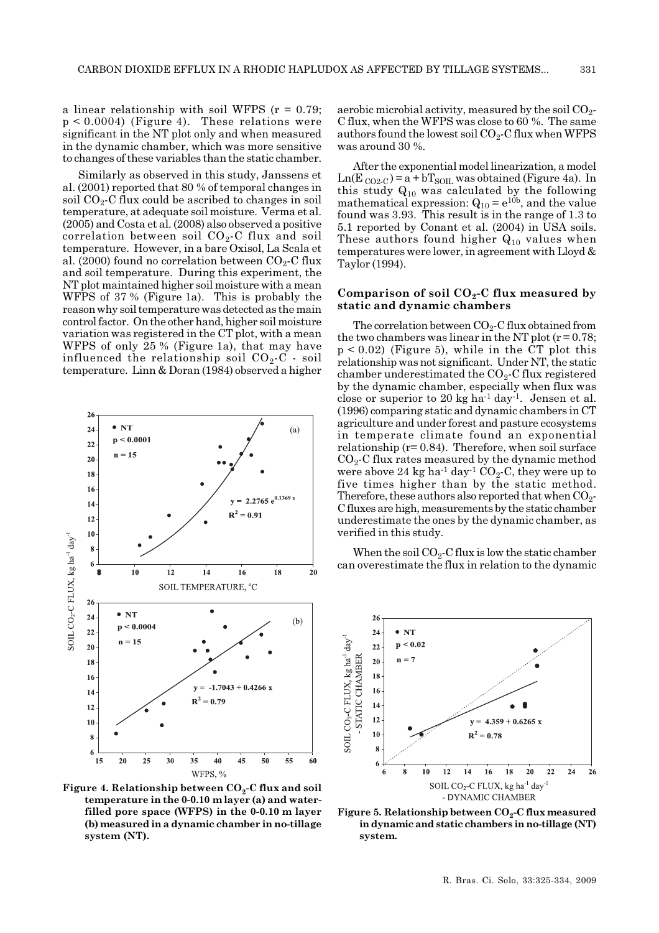a linear relationship with soil WFPS  $(r = 0.79)$ ;  $p < 0.0004$ ) (Figure 4). These relations were significant in the NT plot only and when measured in the dynamic chamber, which was more sensitive to changes of these variables than the static chamber.

Similarly as observed in this study, Janssens et al. (2001) reported that 80 % of temporal changes in soil  $CO<sub>2</sub>$ -C flux could be ascribed to changes in soil temperature, at adequate soil moisture. Verma et al. (2005) and Costa et al. (2008) also observed a positive correlation between soil  $CO_2$ -C flux and soil temperature. However, in a bare Oxisol, La Scala et al. (2000) found no correlation between  $CO_2$ -C flux and soil temperature. During this experiment, the NT plot maintained higher soil moisture with a mean WFPS of 37 % (Figure 1a). This is probably the reason why soil temperature was detected as the main control factor. On the other hand, higher soil moisture variation was registered in the CT plot, with a mean WFPS of only 25 % (Figure 1a), that may have influenced the relationship soil  $CO<sub>2</sub>-C$  - soil temperature. Linn & Doran (1984) observed a higher



Figure 4. Relationship between  $CO_2$ -C flux and soil temperature in the 0-0.10 m layer (a) and waterfilled pore space (WFPS) in the 0-0.10 m layer (b) measured in a dynamic chamber in no-tillage system (NT).

aerobic microbial activity, measured by the soil  $CO<sub>2</sub>$ -C flux, when the WFPS was close to 60 %. The same authors found the lowest soil  $CO<sub>2</sub>$ -C flux when WFPS was around 30 %.

After the exponential model linearization, a model  $Ln(E_{CO2-C}) = a + bT_{SOL}$  was obtained (Figure 4a). In this study  $Q_{10}$  was calculated by the following mathematical expression:  $Q_{10} = e^{10b}$ , and the value found was 3.93. This result is in the range of 1.3 to 5.1 reported by Conant et al. (2004) in USA soils. These authors found higher  $Q_{10}$  values when temperatures were lower, in agreement with Lloyd & Taylor (1994).

#### Comparison of soil  $CO<sub>2</sub>$ -C flux measured by static and dynamic chambers

The correlation between  $CO<sub>2</sub>$ -C flux obtained from the two chambers was linear in the NT plot  $(r=0.78;$  $p < 0.02$ ) (Figure 5), while in the CT plot this relationship was not significant. Under NT, the static chamber underestimated the  $CO<sub>2</sub>$ -C flux registered by the dynamic chamber, especially when flux was close or superior to 20 kg ha<sup>-1</sup> day<sup>-1</sup>. Jensen et al. (1996) comparing static and dynamic chambers in CT agriculture and under forest and pasture ecosystems in temperate climate found an exponential relationship  $(r= 0.84)$ . Therefore, when soil surface  $CO<sub>2</sub>$ -C flux rates measured by the dynamic method were above 24 kg ha<sup>-1</sup> day<sup>-1</sup> CO<sub>2</sub>-C, they were up to five times higher than by the static method. Therefore, these authors also reported that when  $CO_2$ -C fluxes are high, measurements by the static chamber underestimate the ones by the dynamic chamber, as verified in this study.

When the soil  $CO<sub>2</sub>-C$  flux is low the static chamber can overestimate the flux in relation to the dynamic



Figure 5. Relationship between  $CO_2$ -C flux measured in dynamic and static chambers in no-tillage (NT) system.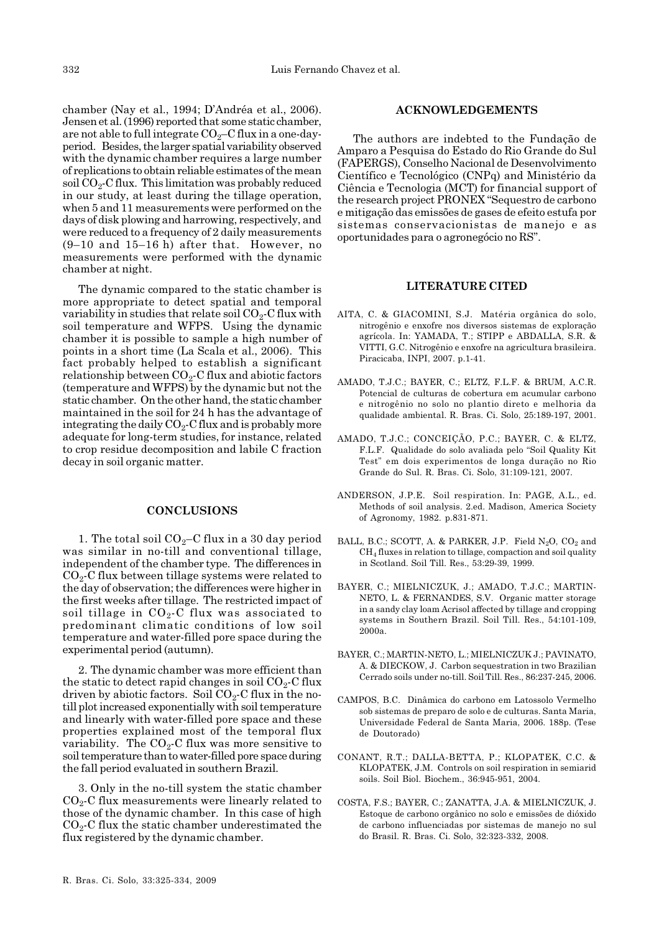chamber (Nay et al., 1994; D'Andréa et al., 2006). Jensen et al. (1996) reported that some static chamber, are not able to full integrate  $CO<sub>2</sub>-C$  flux in a one-dayperiod. Besides, the larger spatial variability observed with the dynamic chamber requires a large number of replications to obtain reliable estimates of the mean soil  $CO<sub>2</sub>-C$  flux. This limitation was probably reduced in our study, at least during the tillage operation, when 5 and 11 measurements were performed on the days of disk plowing and harrowing, respectively, and were reduced to a frequency of 2 daily measurements (9–10 and 15–16 h) after that. However, no measurements were performed with the dynamic chamber at night.

The dynamic compared to the static chamber is more appropriate to detect spatial and temporal variability in studies that relate soil  $CO<sub>2</sub>-C$  flux with soil temperature and WFPS. Using the dynamic chamber it is possible to sample a high number of points in a short time (La Scala et al., 2006). This fact probably helped to establish a significant relationship between  $CO<sub>2</sub>$ -C flux and abiotic factors (temperature and WFPS) by the dynamic but not the static chamber. On the other hand, the static chamber maintained in the soil for 24 h has the advantage of integrating the daily  $CO<sub>2</sub>$ -C flux and is probably more adequate for long-term studies, for instance, related to crop residue decomposition and labile C fraction decay in soil organic matter.

### **CONCLUSIONS**

1. The total soil  $CO<sub>2</sub>-C$  flux in a 30 day period was similar in no-till and conventional tillage, independent of the chamber type. The differences in  $CO<sub>2</sub>$ -C flux between tillage systems were related to the day of observation; the differences were higher in the first weeks after tillage. The restricted impact of soil tillage in  $CO<sub>2</sub>$ -C flux was associated to predominant climatic conditions of low soil temperature and water-filled pore space during the experimental period (autumn).

2. The dynamic chamber was more efficient than the static to detect rapid changes in soil  $CO<sub>2</sub>$ -C flux driven by abiotic factors. Soil  $CO_2$ -C flux in the notill plot increased exponentially with soil temperature and linearly with water-filled pore space and these properties explained most of the temporal flux variability. The  $CO<sub>2</sub>$ -C flux was more sensitive to soil temperature than to water-filled pore space during the fall period evaluated in southern Brazil.

3. Only in the no-till system the static chamber  $CO<sub>2</sub>$ -C flux measurements were linearly related to those of the dynamic chamber. In this case of high  $CO<sub>2</sub>$ -C flux the static chamber underestimated the flux registered by the dynamic chamber.

#### ACKNOWLEDGEMENTS

The authors are indebted to the Fundação de Amparo a Pesquisa do Estado do Rio Grande do Sul (FAPERGS), Conselho Nacional de Desenvolvimento Científico e Tecnológico (CNPq) and Ministério da Ciência e Tecnologia (MCT) for financial support of the research project PRONEX "Sequestro de carbono e mitigação das emissões de gases de efeito estufa por sistemas conservacionistas de manejo e as oportunidades para o agronegócio no RS".

## LITERATURE CITED

- AITA, C. & GIACOMINI, S.J. Matéria orgânica do solo, nitrogênio e enxofre nos diversos sistemas de exploração agrícola. In: YAMADA, T.; STIPP e ABDALLA, S.R. & VITTI, G.C. Nitrogênio e enxofre na agricultura brasileira. Piracicaba, INPI, 2007. p.1-41.
- AMADO, T.J.C.; BAYER, C.; ELTZ, F.L.F. & BRUM, A.C.R. Potencial de culturas de cobertura em acumular carbono e nitrogênio no solo no plantio direto e melhoria da qualidade ambiental. R. Bras. Ci. Solo, 25:189-197, 2001.
- AMADO, T.J.C.; CONCEIÇÃO, P.C.; BAYER, C. & ELTZ, F.L.F. Qualidade do solo avaliada pelo "Soil Quality Kit Test" em dois experimentos de longa duração no Rio Grande do Sul. R. Bras. Ci. Solo, 31:109-121, 2007.
- ANDERSON, J.P.E. Soil respiration. In: PAGE, A.L., ed. Methods of soil analysis. 2.ed. Madison, America Society of Agronomy, 1982. p.831-871.
- BALL, B.C.; SCOTT, A. & PARKER, J.P. Field  $N_2O$ ,  $CO_2$  and CH4 fluxes in relation to tillage, compaction and soil quality in Scotland. Soil Till. Res., 53:29-39, 1999.
- BAYER, C.; MIELNICZUK, J.; AMADO, T.J.C.; MARTIN-NETO, L. & FERNANDES, S.V. Organic matter storage in a sandy clay loam Acrisol affected by tillage and cropping systems in Southern Brazil. Soil Till. Res., 54:101-109, 2000a.
- BAYER, C.; MARTIN-NETO, L.; MIELNICZUK J.; PAVINATO, A. & DIECKOW, J. Carbon sequestration in two Brazilian Cerrado soils under no-till. Soil Till. Res., 86:237-245, 2006.
- CAMPOS, B.C. Dinâmica do carbono em Latossolo Vermelho sob sistemas de preparo de solo e de culturas. Santa Maria, Universidade Federal de Santa Maria, 2006. 188p. (Tese de Doutorado)
- CONANT, R.T.; DALLA-BETTA, P.; KLOPATEK, C.C. & KLOPATEK, J.M. Controls on soil respiration in semiarid soils. Soil Biol. Biochem., 36:945-951, 2004.
- COSTA, F.S.; BAYER, C.; ZANATTA, J.A. & MIELNICZUK, J. Estoque de carbono orgânico no solo e emissões de dióxido de carbono influenciadas por sistemas de manejo no sul do Brasil. R. Bras. Ci. Solo, 32:323-332, 2008.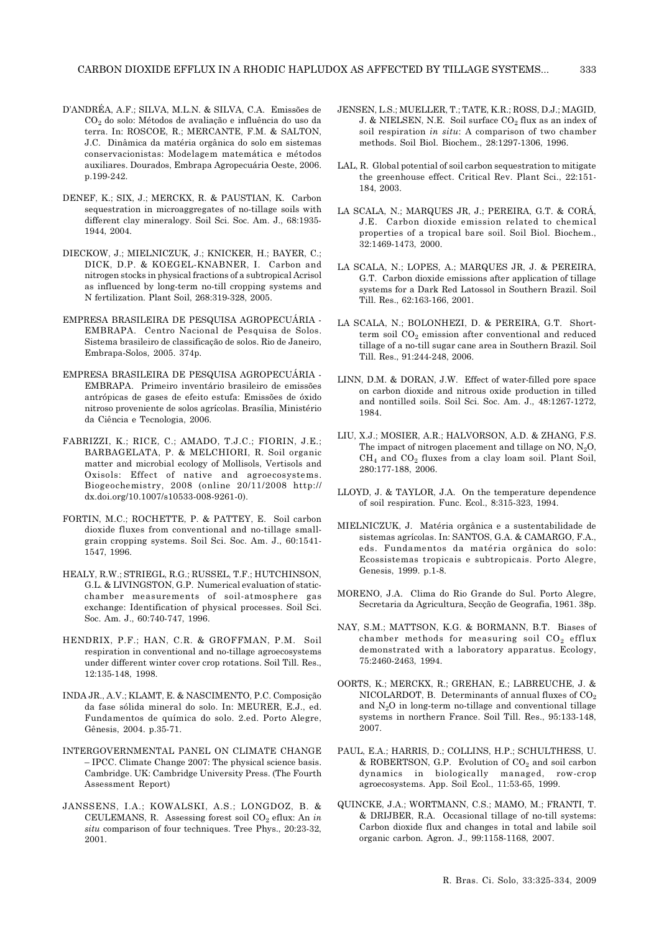- D'ANDRÉA, A.F.; SILVA, M.L.N. & SILVA, C.A. Emissões de CO2 do solo: Métodos de avaliação e influência do uso da terra. In: ROSCOE, R.; MERCANTE, F.M. & SALTON, J.C. Dinâmica da matéria orgânica do solo em sistemas conservacionistas: Modelagem matemática e métodos auxiliares. Dourados, Embrapa Agropecuária Oeste, 2006. p.199-242.
- DENEF, K.; SIX, J.; MERCKX, R. & PAUSTIAN, K. Carbon sequestration in microaggregates of no-tillage soils with different clay mineralogy. Soil Sci. Soc. Am. J., 68:1935- 1944, 2004.
- DIECKOW, J.; MIELNICZUK, J.; KNICKER, H.; BAYER, C.; DICK, D.P. & KOEGEL-KNABNER, I. Carbon and nitrogen stocks in physical fractions of a subtropical Acrisol as influenced by long-term no-till cropping systems and N fertilization. Plant Soil, 268:319-328, 2005.
- EMPRESA BRASILEIRA DE PESQUISA AGROPECUÁRIA EMBRAPA. Centro Nacional de Pesquisa de Solos. Sistema brasileiro de classificação de solos. Rio de Janeiro, Embrapa-Solos, 2005. 374p.
- EMPRESA BRASILEIRA DE PESQUISA AGROPECUÁRIA EMBRAPA. Primeiro inventário brasileiro de emissões antrópicas de gases de efeito estufa: Emissões de óxido nitroso proveniente de solos agrícolas. Brasília, Ministério da Ciência e Tecnologia, 2006.
- FABRIZZI, K.; RICE, C.; AMADO, T.J.C.; FIORIN, J.E.; BARBAGELATA, P. & MELCHIORI, R. Soil organic matter and microbial ecology of Mollisols, Vertisols and Oxisols: Effect of native and agroecosystems. Biogeochemistry, 2008 (online 20/11/2008 http:// dx.doi.org/10.1007/s10533-008-9261-0).
- FORTIN, M.C.; ROCHETTE, P. & PATTEY, E. Soil carbon dioxide fluxes from conventional and no-tillage smallgrain cropping systems. Soil Sci. Soc. Am. J., 60:1541- 1547, 1996.
- HEALY, R.W.; STRIEGL, R.G.; RUSSEL, T.F.; HUTCHINSON, G.L. & LIVINGSTON, G.P. Numerical evaluation of staticchamber measurements of soil-atmosphere gas exchange: Identification of physical processes. Soil Sci. Soc. Am. J., 60:740-747, 1996.
- HENDRIX, P.F.; HAN, C.R. & GROFFMAN, P.M. Soil respiration in conventional and no-tillage agroecosystems under different winter cover crop rotations. Soil Till. Res., 12:135-148, 1998.
- INDA JR., A.V.; KLAMT, E. & NASCIMENTO, P.C. Composição da fase sólida mineral do solo. In: MEURER, E.J., ed. Fundamentos de química do solo. 2.ed. Porto Alegre, Gênesis, 2004. p.35-71.
- INTERGOVERNMENTAL PANEL ON CLIMATE CHANGE – IPCC. Climate Change 2007: The physical science basis. Cambridge. UK: Cambridge University Press. (The Fourth Assessment Report)
- JANSSENS, I.A.; KOWALSKI, A.S.; LONGDOZ, B. & CEULEMANS, R. Assessing forest soil  $CO<sub>2</sub>$  eflux: An in situ comparison of four techniques. Tree Phys., 20:23-32, 2001.
- JENSEN, L.S.; MUELLER, T.; TATE, K.R.; ROSS, D.J.; MAGID, J. & NIELSEN, N.E. Soil surface  $CO_2$  flux as an index of soil respiration in situ: A comparison of two chamber methods. Soil Biol. Biochem., 28:1297-1306, 1996.
- LAL, R. Global potential of soil carbon sequestration to mitigate the greenhouse effect. Critical Rev. Plant Sci., 22:151- 184, 2003.
- LA SCALA, N.; MARQUES JR, J.; PEREIRA, G.T. & CORÁ, J.E. Carbon dioxide emission related to chemical properties of a tropical bare soil. Soil Biol. Biochem., 32:1469-1473, 2000.
- LA SCALA, N.; LOPES, A.; MARQUES JR, J. & PEREIRA, G.T. Carbon dioxide emissions after application of tillage systems for a Dark Red Latossol in Southern Brazil. Soil Till. Res., 62:163-166, 2001.
- LA SCALA, N.; BOLONHEZI, D. & PEREIRA, G.T. Shortterm soil  $CO<sub>2</sub>$  emission after conventional and reduced tillage of a no-till sugar cane area in Southern Brazil. Soil Till. Res., 91:244-248, 2006.
- LINN, D.M. & DORAN, J.W. Effect of water-filled pore space on carbon dioxide and nitrous oxide production in tilled and nontilled soils. Soil Sci. Soc. Am. J., 48:1267-1272, 1984.
- LIU, X.J.; MOSIER, A.R.; HALVORSON, A.D. & ZHANG, F.S. The impact of nitrogen placement and tillage on  $NO$ ,  $N_2O$ ,  $CH<sub>4</sub>$  and  $CO<sub>2</sub>$  fluxes from a clay loam soil. Plant Soil, 280:177-188, 2006.
- LLOYD, J. & TAYLOR, J.A. On the temperature dependence of soil respiration. Func. Ecol., 8:315-323, 1994.
- MIELNICZUK, J. Matéria orgânica e a sustentabilidade de sistemas agrícolas. In: SANTOS, G.A. & CAMARGO, F.A., eds. Fundamentos da matéria orgânica do solo: Ecossistemas tropicais e subtropicais. Porto Alegre, Genesis, 1999. p.1-8.
- MORENO, J.A. Clima do Rio Grande do Sul. Porto Alegre, Secretaria da Agricultura, Secção de Geografia, 1961. 38p.
- NAY, S.M.; MATTSON, K.G. & BORMANN, B.T. Biases of chamber methods for measuring soil  $CO<sub>2</sub>$  efflux demonstrated with a laboratory apparatus. Ecology, 75:2460-2463, 1994.
- OORTS, K.; MERCKX, R.; GREHAN, E.; LABREUCHE, J. & NICOLARDOT, B. Determinants of annual fluxes of  $CO<sub>2</sub>$ and  $N_2O$  in long-term no-tillage and conventional tillage systems in northern France. Soil Till. Res., 95:133-148, 2007.
- PAUL, E.A.; HARRIS, D.; COLLINS, H.P.; SCHULTHESS, U.  $&$  ROBERTSON, G.P. Evolution of  $CO<sub>2</sub>$  and soil carbon dynamics in biologically managed, row-crop agroecosystems. App. Soil Ecol., 11:53-65, 1999.
- QUINCKE, J.A.; WORTMANN, C.S.; MAMO, M.; FRANTI, T. & DRIJBER, R.A. Occasional tillage of no-till systems: Carbon dioxide flux and changes in total and labile soil organic carbon. Agron. J., 99:1158-1168, 2007.